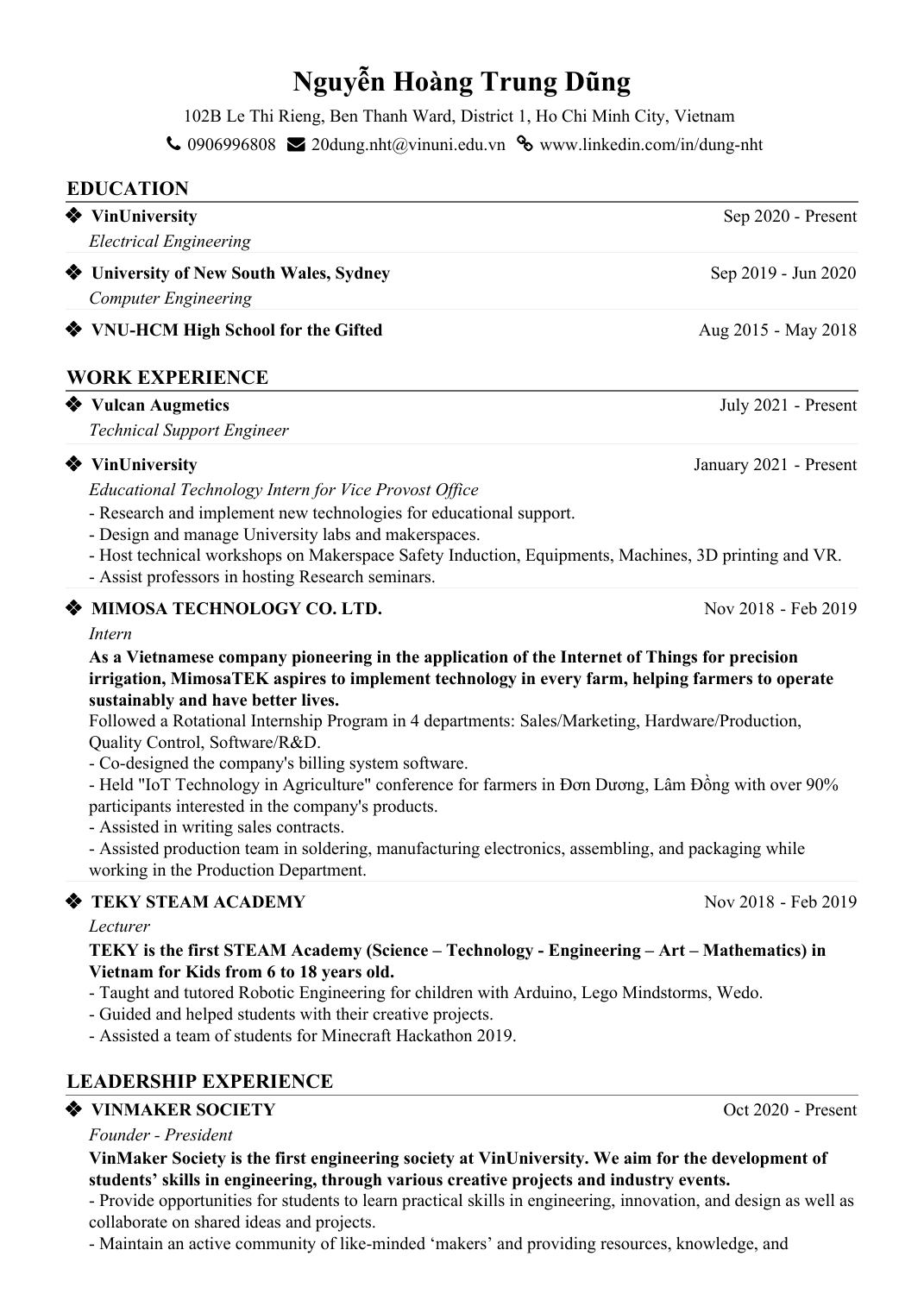# **Nguyễn Hoàng Trung Dũng**

102B Le Thi Rieng, Ben Thanh Ward, District 1, Ho Chi Minh City, Vietnam

 $\bigcup$  0906996808  $\bigotimes$  20dung.nht@vinuni.edu.vn  $\bigotimes$  www.linkedin.com/in/dung-nht

# ❖ **VinUniversity** Sep 2020 - Present ❖ **University of New South Wales, Sydney** Sep 2019 - Jun 2020 ❖ **VNU-HCM High School for the Gifted** Aug 2015 - May 2018 ❖ **Vulcan Augmetics** July 2021 - Present ❖ **VinUniversity** January 2021 - Present ❖ **MIMOSA TECHNOLOGY CO. LTD.** Nov 2018 - Feb 2019 ❖ **TEKY STEAM ACADEMY** Nov 2018 - Feb 2019 **EDUCATION** *Electrical Engineering Computer Engineering* **WORK EXPERIENCE** *Technical Support Engineer Educational Technology Intern for Vice Provost Of ice* - Research and implement new technologies for educational support. - Design and manage University labs and makerspaces. - Host technical workshops on Makerspace Safety Induction, Equipments, Machines, 3D printing and VR. - Assist professors in hosting Research seminars. *Intern* **As a Vietnamese company pioneering in the application of the Internet of Things for precision irrigation, MimosaTEK aspires to implement technology in every farm, helping farmers to operate sustainably and have better lives.** Followed a Rotational Internship Program in 4 departments: Sales/Marketing, Hardware/Production, Quality Control, Software/R&D. - Co-designed the company's billing system software. - Held "IoT Technology in Agriculture" conference for farmers in Đơn Dương, Lâm Đồng with over 90% participants interested in the company's products. - Assisted in writing sales contracts. - Assisted production team in soldering, manufacturing electronics, assembling, and packaging while working in the Production Department. *Lecturer* **TEKY is the first STEAM Academy (Science – Technology - Engineering – Art – Mathematics) in Vietnam for Kids from 6 to 18 years old.** - Taught and tutored Robotic Engineering for children with Arduino, Lego Mindstorms, Wedo. - Guided and helped students with their creative projects. - Assisted a team of students for Minecraft Hackathon 2019.

# **LEADERSHIP EXPERIENCE**

## ❖ **VINMAKER SOCIETY** Oct 2020 - Present

## *Founder - President*

#### **VinMaker Society is the first engineering society at VinUniversity. We aim for the development of students' skills in engineering, through various creative projects and industry events.**

- Provide opportunities for students to learn practical skills in engineering, innovation, and design as well as collaborate on shared ideas and projects.

- Maintain an active community of like-minded 'makers' and providing resources, knowledge, and